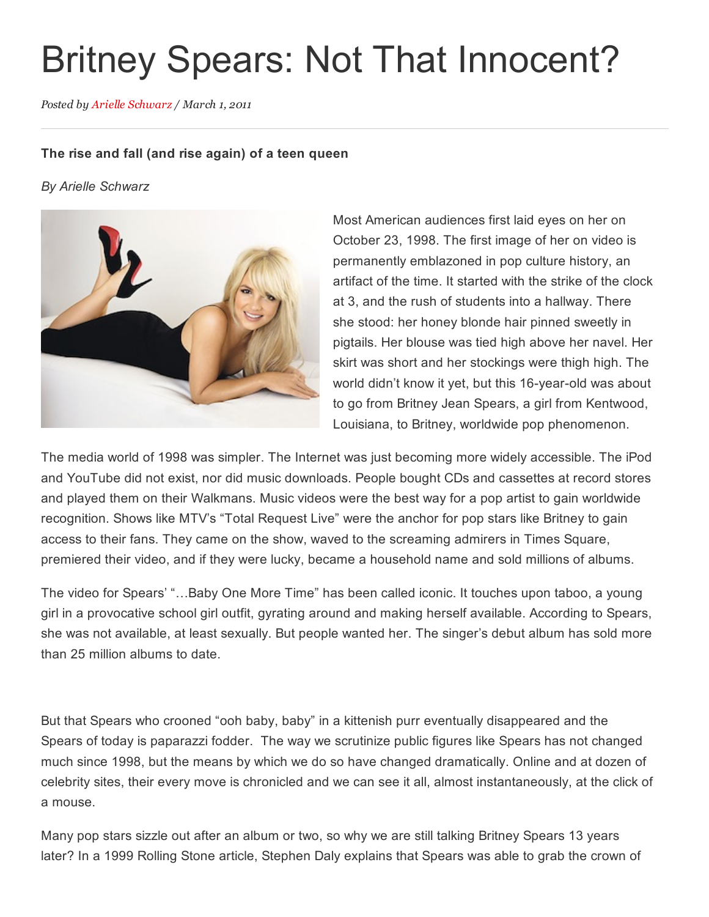## Britney Spears: Not That Innocent?

Posted by Arielle [Schwarz](http://fameology.net/author/arielleschwarz/) / March 1, 2011

## The rise and fall (and rise again) of a teen queen

*By Arielle Schwarz*



Most American audiences first laid eyes on her on October 23, 1998. The first image of her on video is permanently emblazoned in pop culture history, an artifact of the time. It started with the strike of the clock at 3, and the rush of students into a hallway. There she stood: her honey blonde hair pinned sweetly in pigtails. Her blouse was tied high above her navel. Her skirt was short and her stockings were thigh high. The world didn't know it yet, but this 16-year-old was about to go from Britney Jean Spears, a girl from Kentwood, Louisiana, to Britney, worldwide pop phenomenon.

The media world of 1998 was simpler. The Internet was just becoming more widely accessible. The iPod and YouTube did not exist, nor did music downloads. People bought CDs and cassettes at record stores and played them on their Walkmans. Music videos were the best way for a pop artist to gain worldwide recognition. Shows like MTV's "Total Request Live" were the anchor for pop stars like Britney to gain access to their fans. They came on the show, waved to the screaming admirers in Times Square, premiered their video, and if they were lucky, became a household name and sold millions of albums.

The video for Spears' "…Baby One More Time" has been called iconic. It touches upon taboo, a young girl in a provocative school girl outfit, gyrating around and making herself available. According to Spears, she was not available, at least sexually. But people wanted her. The singer's debut album has sold more than 25 million albums to date.

But that Spears who crooned "ooh baby, baby" in a kittenish purr eventually disappeared and the Spears of today is paparazzi fodder. The way we scrutinize public figures like Spears has not changed much since 1998, but the means by which we do so have changed dramatically. Online and at dozen of celebrity sites, their every move is chronicled and we can see it all, almost instantaneously, at the click of a mouse.

Many pop stars sizzle out after an album or two, so why we are still talking Britney Spears 13 years later? In a 1999 Rolling Stone article, Stephen Daly explains that Spears was able to grab the crown of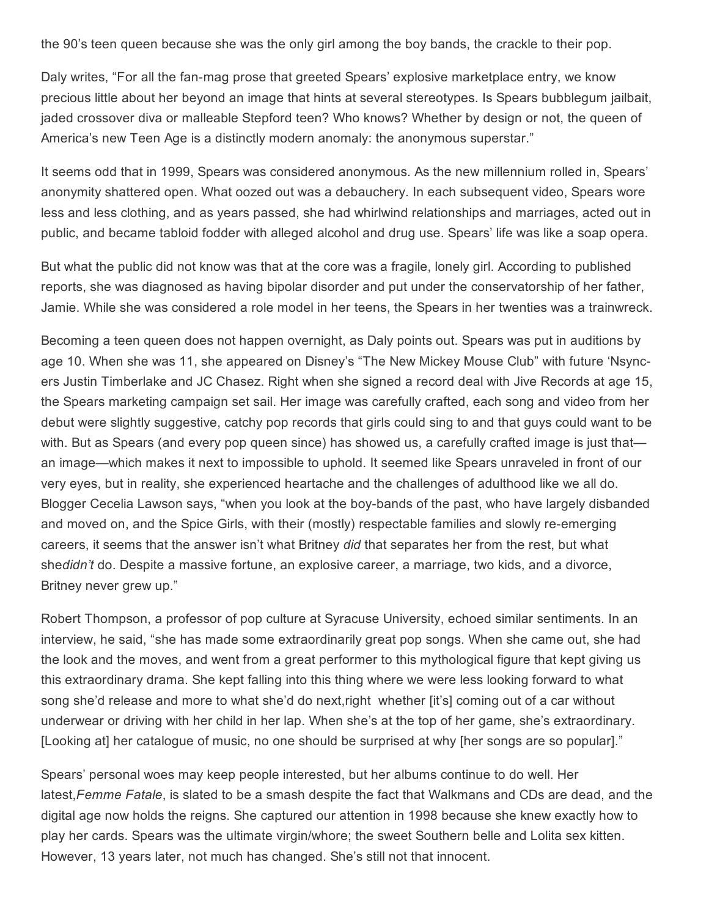the 90's teen queen because she was the only girl among the boy bands, the crackle to their pop.

Daly writes, "For all the fan-mag prose that greeted Spears' explosive marketplace entry, we know precious little about her beyond an image that hints at several stereotypes. Is Spears bubblegum jailbait, jaded crossover diva or malleable Stepford teen? Who knows? Whether by design or not, the queen of America's new Teen Age is a distinctly modern anomaly: the anonymous superstar."

It seems odd that in 1999, Spears was considered anonymous. As the new millennium rolled in, Spears' anonymity shattered open. What oozed out was a debauchery. In each subsequent video, Spears wore less and less clothing, and as years passed, she had whirlwind relationships and marriages, acted out in public, and became tabloid fodder with alleged alcohol and drug use. Spears' life was like a soap opera.

But what the public did not know was that at the core was a fragile, lonely girl. According to published reports, she was diagnosed as having bipolar disorder and put under the conservatorship of her father, Jamie. While she was considered a role model in her teens, the Spears in her twenties was a trainwreck.

Becoming a teen queen does not happen overnight, as Daly points out. Spears was put in auditions by age 10. When she was 11, she appeared on Disney's "The New Mickey Mouse Club" with future 'Nsyncers Justin Timberlake and JC Chasez. Right when she signed a record deal with Jive Records at age 15, the Spears marketing campaign set sail. Her image was carefully crafted, each song and video from her debut were slightly suggestive, catchy pop records that girls could sing to and that guys could want to be with. But as Spears (and every pop queen since) has showed us, a carefully crafted image is just that an image—which makes it next to impossible to uphold. It seemed like Spears unraveled in front of our very eyes, but in reality, she experienced heartache and the challenges of adulthood like we all do. Blogger Cecelia Lawson says, "when you look at the boy-bands of the past, who have largely disbanded and moved on, and the Spice Girls, with their (mostly) respectable families and slowly re-emerging careers, it seems that the answer isn't what Britney *did* that separates her from the rest, but what she*didn't* do. Despite a massive fortune, an explosive career, a marriage, two kids, and a divorce, Britney never grew up."

Robert Thompson, a professor of pop culture at Syracuse University, echoed similar sentiments. In an interview, he said, "she has made some extraordinarily great pop songs. When she came out, she had the look and the moves, and went from a great performer to this mythological figure that kept giving us this extraordinary drama. She kept falling into this thing where we were less looking forward to what song she'd release and more to what she'd do next,right whether [it's] coming out of a car without underwear or driving with her child in her lap. When she's at the top of her game, she's extraordinary. [Looking at] her catalogue of music, no one should be surprised at why [her songs are so popular]."

Spears' personal woes may keep people interested, but her albums continue to do well. Her latest,*Femme Fatale*, is slated to be a smash despite the fact that Walkmans and CDs are dead, and the digital age now holds the reigns. She captured our attention in 1998 because she knew exactly how to play her cards. Spears was the ultimate virgin/whore; the sweet Southern belle and Lolita sex kitten. However, 13 years later, not much has changed. She's still not that innocent.